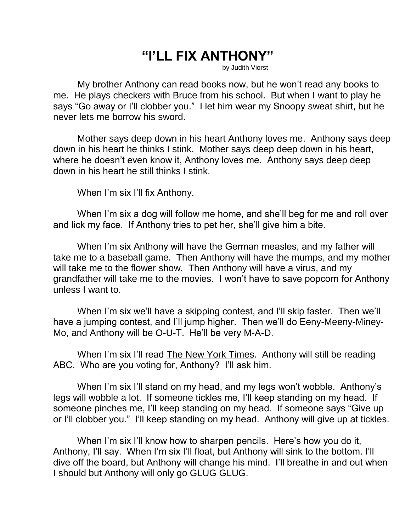## **"I'LL FIX ANTHONY"**

by Judith Viorst

My brother Anthony can read books now, but he won't read any books to me. He plays checkers with Bruce from his school. But when I want to play he says "Go away or I'll clobber you." I let him wear my Snoopy sweat shirt, but he never lets me borrow his sword.

Mother says deep down in his heart Anthony loves me. Anthony says deep down in his heart he thinks I stink. Mother says deep deep down in his heart, where he doesn't even know it, Anthony loves me. Anthony says deep deep down in his heart he still thinks I stink.

When I'm six I'll fix Anthony.

When I'm six a dog will follow me home, and she'll beg for me and roll over and lick my face. If Anthony tries to pet her, she'll give him a bite.

When I'm six Anthony will have the German measles, and my father will take me to a baseball game. Then Anthony will have the mumps, and my mother will take me to the flower show. Then Anthony will have a virus, and my grandfather will take me to the movies. I won't have to save popcorn for Anthony unless I want to.

When I'm six we'll have a skipping contest, and I'll skip faster. Then we'll have a jumping contest, and I'll jump higher. Then we'll do Eeny-Meeny-Miney-Mo, and Anthony will be O-U-T. He'll be very M-A-D.

When I'm six I'll read The New York Times. Anthony will still be reading ABC. Who are you voting for, Anthony? I'll ask him.

When I'm six I'll stand on my head, and my legs won't wobble. Anthony's legs will wobble a lot. If someone tickles me, I'll keep standing on my head. If someone pinches me, I'll keep standing on my head. If someone says "Give up or I'll clobber you." I'll keep standing on my head. Anthony will give up at tickles.

When I'm six I'll know how to sharpen pencils. Here's how you do it, Anthony, I'll say. When I'm six I'll float, but Anthony will sink to the bottom. I'll dive off the board, but Anthony will change his mind. I'll breathe in and out when I should but Anthony will only go GLUG GLUG.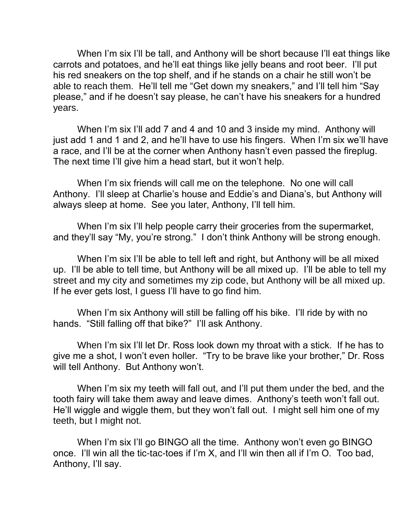When I'm six I'll be tall, and Anthony will be short because I'll eat things like carrots and potatoes, and he'll eat things like jelly beans and root beer. I'll put his red sneakers on the top shelf, and if he stands on a chair he still won't be able to reach them. He'll tell me "Get down my sneakers," and I'll tell him "Say please," and if he doesn't say please, he can't have his sneakers for a hundred years.

When I'm six I'll add 7 and 4 and 10 and 3 inside my mind. Anthony will just add 1 and 1 and 2, and he'll have to use his fingers. When I'm six we'll have a race, and I'll be at the corner when Anthony hasn't even passed the fireplug. The next time I'll give him a head start, but it won't help.

When I'm six friends will call me on the telephone. No one will call Anthony. I'll sleep at Charlie's house and Eddie's and Diana's, but Anthony will always sleep at home. See you later, Anthony, I'll tell him.

When I'm six I'll help people carry their groceries from the supermarket, and they'll say "My, you're strong." I don't think Anthony will be strong enough.

When I'm six I'll be able to tell left and right, but Anthony will be all mixed up. I'll be able to tell time, but Anthony will be all mixed up. I'll be able to tell my street and my city and sometimes my zip code, but Anthony will be all mixed up. If he ever gets lost, I guess I'll have to go find him.

When I'm six Anthony will still be falling off his bike. I'll ride by with no hands. "Still falling off that bike?" I'll ask Anthony.

When I'm six I'll let Dr. Ross look down my throat with a stick. If he has to give me a shot, I won't even holler. "Try to be brave like your brother," Dr. Ross will tell Anthony. But Anthony won't.

When I'm six my teeth will fall out, and I'll put them under the bed, and the tooth fairy will take them away and leave dimes. Anthony's teeth won't fall out. He'll wiggle and wiggle them, but they won't fall out. I might sell him one of my teeth, but I might not.

When I'm six I'll go BINGO all the time. Anthony won't even go BINGO once. I'll win all the tic-tac-toes if I'm X, and I'll win then all if I'm O. Too bad, Anthony, I'll say.